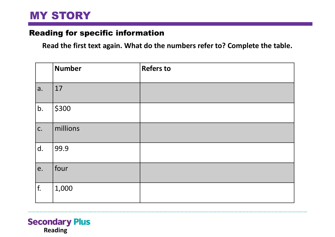## MY STORY

### Reading for specific information

**Read the first text again. What do the numbers refer to? Complete the table.**

|                | <b>Number</b> | <b>Refers to</b> |
|----------------|---------------|------------------|
| a.             | 17            |                  |
| b.             | \$300         |                  |
| $\mathsf{C}$ . | millions      |                  |
| d.             | 99.9          |                  |
| e.             | four          |                  |
| f.             | 1,000         |                  |

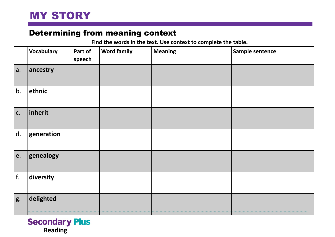## Determining from meaning context

**Find the words in the text. Use context to complete the table.**

|            | <b>Vocabulary</b> | Part of<br>$ $ speech | <b>Word family</b> | <b>Meaning</b> | Sample sentence |
|------------|-------------------|-----------------------|--------------------|----------------|-----------------|
| a.         | ancestry          |                       |                    |                |                 |
| b.         | ethnic            |                       |                    |                |                 |
| c.         | inherit           |                       |                    |                |                 |
| d.         | generation        |                       |                    |                |                 |
| e.         | genealogy         |                       |                    |                |                 |
| $\vert$ f. | diversity         |                       |                    |                |                 |
| g.         | delighted         |                       |                    |                |                 |

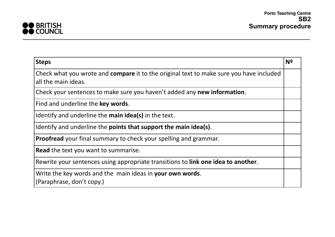

| <b>Steps</b>                                                                            | N <sup>2</sup> |
|-----------------------------------------------------------------------------------------|----------------|
| Check what you wrote and compare it to the original text to make sure you have included |                |
| all the main ideas.                                                                     |                |
| Check your sentences to make sure you haven't added any new information.                |                |
| Find and underline the key words.                                                       |                |
| Identify and underline the main idea(s) in the text.                                    |                |
| Identify and underline the <b>points that support the main idea(s)</b> .                |                |
| <b>Proofread</b> your final summary to check your spelling and grammar.                 |                |
| <b>Read</b> the text you want to summarise.                                             |                |
| Rewrite your sentences using appropriate transitions to link one idea to another.       |                |
| Write the key words and the main ideas in your own words.                               |                |
| (Paraphrase, don't copy.)                                                               |                |